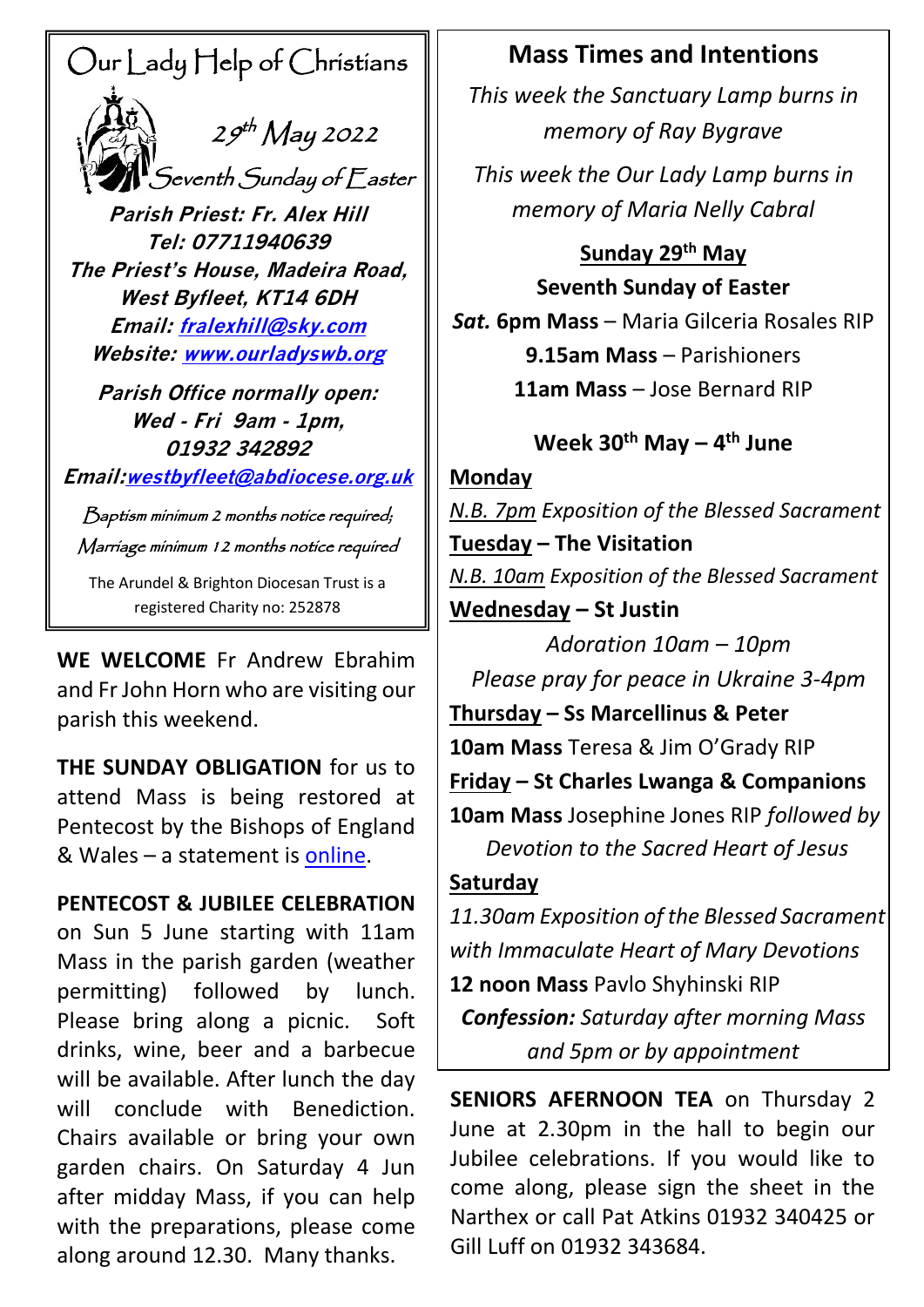# Our Lady Help of Christians

 $29<sup>th</sup>$  May 2022  $^\prime$ Seventh Sunday of Easter

**Parish Priest: Fr. Alex Hill Tel: 07711940639 The Priest's House, Madeira Road, West Byfleet, KT14 6DH Email: [fralexhill@sky.com](mailto:fralexhill@sky.com) Website: [www.ourladyswb.org](http://www.ourladyswb.org/)**

**Parish Office normally open: Wed - Fri 9am - 1pm, 01932 342892**

**Email:[westbyfleet@abdiocese.org.uk](mailto:westbyfleet@abdiocese.org.uk)**

Baptism minimum 2 months notice required; Marriage minimum 12 months notice required

The Arundel & Brighton Diocesan Trust is a registered Charity no: 252878

**WE WELCOME**Fr Andrew Ebrahim and Fr John Horn who are visiting our parish this weekend.

**THE SUNDAY OBLIGATION** for us to attend Mass is being restored at Pentecost by the Bishops of England & Wales – a statement is [online.](https://www.abdiocese.org.uk/news/the-sunday-obligation-returning-to-mass-at-pentecost)

**PENTECOST & JUBILEE CELEBRATION** on Sun 5 June starting with 11am Mass in the parish garden (weather permitting) followed by lunch. Please bring along a picnic. Soft drinks, wine, beer and a barbecue will be available. After lunch the day will conclude with Benediction. Chairs available or bring your own garden chairs. On Saturday 4 Jun after midday Mass, if you can help with the preparations, please come along around 12.30. Many thanks.

# **Mass Times and Intentions**

*This week the Sanctuary Lamp burns in memory of Ray Bygrave*

*This week the Our Lady Lamp burns in memory of Maria Nelly Cabral*

**Sunday 29th May Seventh Sunday of Easter** *Sat.* **6pm Mass** – Maria Gilceria Rosales RIP **9.15am Mass** – Parishioners **11am Mass** – Jose Bernard RIP

# **Week 30th May – 4 th June**

**Monday**

*N.B. 7pm Exposition of the Blessed Sacrament* **Tuesday – The Visitation**  *N.B. 10am Exposition of the Blessed Sacrament* **Wednesday – St Justin**

*Adoration 10am – 10pm Please pray for peace in Ukraine 3-4pm* **Thursday – Ss Marcellinus & Peter 10am Mass** Teresa & Jim O'Grady RIP **Friday – St Charles Lwanga & Companions 10am Mass** Josephine Jones RIP *followed by Devotion to the Sacred Heart of Jesus*

## **Saturday**

*11.30am Exposition of the Blessed Sacrament with Immaculate Heart of Mary Devotions* **12 noon Mass** Pavlo Shyhinski RIP *Confession: Saturday after morning Mass and 5pm or by appointment*

**SENIORS AFERNOON TEA** on Thursday 2 June at 2.30pm in the hall to begin our Jubilee celebrations. If you would like to come along, please sign the sheet in the Narthex or call Pat Atkins 01932 340425 or Gill Luff on 01932 343684.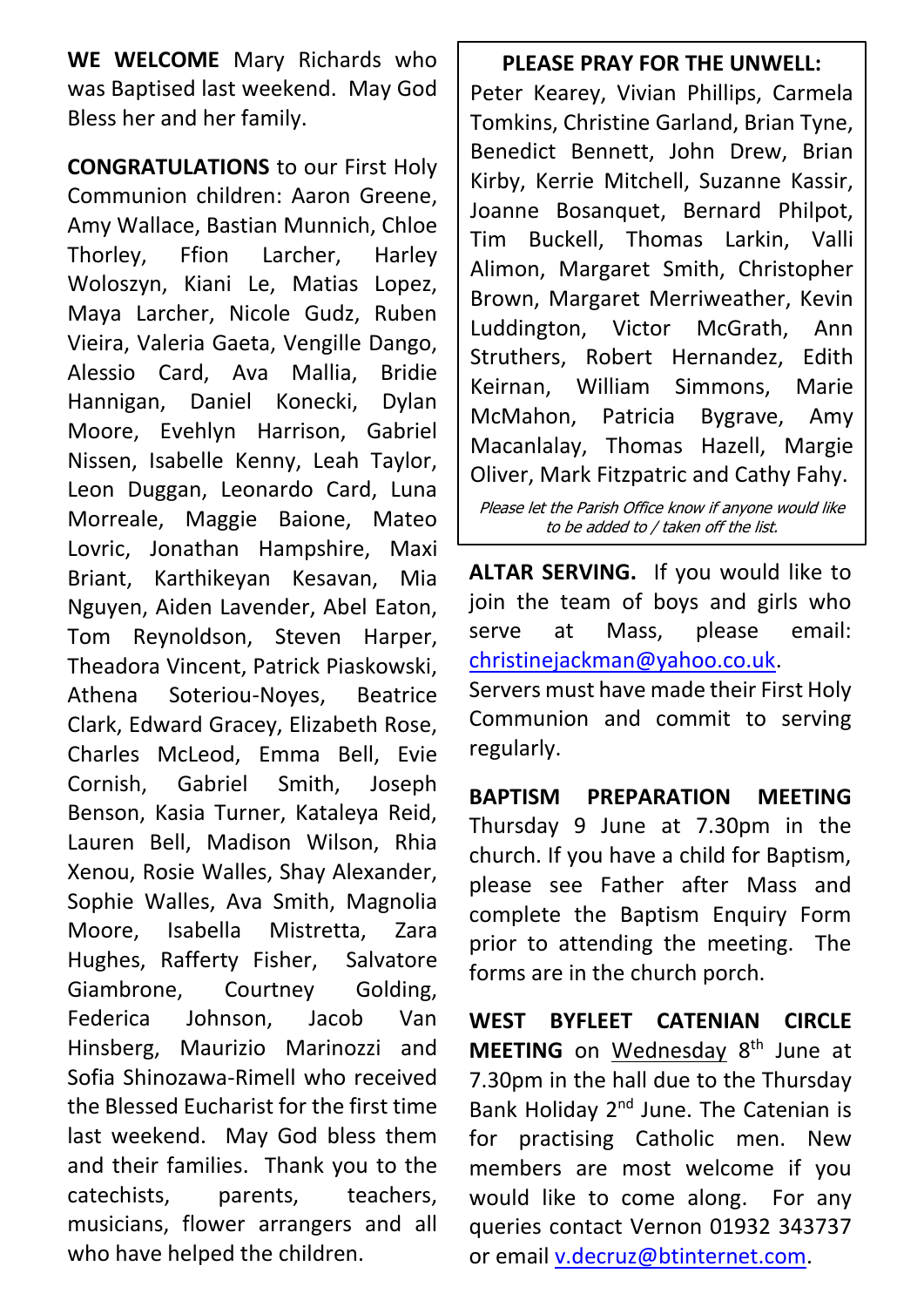**WE WELCOME** Mary Richards who was Baptised last weekend. May God Bless her and her family.

**CONGRATULATIONS** to our First Holy Communion children: Aaron Greene, Amy Wallace, Bastian Munnich, Chloe Thorley, Ffion Larcher, Harley Woloszyn, Kiani Le, Matias Lopez, Maya Larcher, Nicole Gudz, Ruben Vieira, Valeria Gaeta, Vengille Dango, Alessio Card, Ava Mallia, Bridie Hannigan, Daniel Konecki, Dylan Moore, Evehlyn Harrison, Gabriel Nissen, Isabelle Kenny, Leah Taylor, Leon Duggan, Leonardo Card, Luna Morreale, Maggie Baione, Mateo Lovric, Jonathan Hampshire, Maxi Briant, Karthikeyan Kesavan, Mia Nguyen, Aiden Lavender, Abel Eaton, Tom Reynoldson, Steven Harper, Theadora Vincent, Patrick Piaskowski, Athena Soteriou-Noyes, Beatrice Clark, Edward Gracey, Elizabeth Rose, Charles McLeod, Emma Bell, Evie Cornish, Gabriel Smith, Joseph Benson, Kasia Turner, Kataleya Reid, Lauren Bell, Madison Wilson, Rhia Xenou, Rosie Walles, Shay Alexander, Sophie Walles, Ava Smith, Magnolia Moore, Isabella Mistretta, Zara Hughes, Rafferty Fisher, Salvatore Giambrone, Courtney Golding, Federica Johnson, Jacob Van Hinsberg, Maurizio Marinozzi and Sofia Shinozawa-Rimell who received the Blessed Eucharist for the first time last weekend. May God bless them and their families. Thank you to the catechists, parents, teachers, musicians, flower arrangers and all who have helped the children.

**PLEASE PRAY FOR THE UNWELL:** Peter Kearey, Vivian Phillips, Carmela Tomkins, Christine Garland, Brian Tyne, Benedict Bennett, John Drew, Brian Kirby, Kerrie Mitchell, Suzanne Kassir, Joanne Bosanquet, Bernard Philpot, Tim Buckell, Thomas Larkin, Valli Alimon, Margaret Smith, Christopher Brown, Margaret Merriweather, Kevin Luddington, Victor McGrath, Ann Struthers, Robert Hernandez, Edith Keirnan, William Simmons, Marie McMahon, Patricia Bygrave, Amy Macanlalay, Thomas Hazell, Margie Oliver, Mark Fitzpatric and Cathy Fahy.

Please let the Parish Office know if anyone would like to be added to / taken off the list.

**ALTAR SERVING.** If you would like to join the team of boys and girls who serve at Mass, please email: [christinejackman@yahoo.co.uk.](mailto:christinejackman@yahoo.co.uk)

Servers must have made their First Holy Communion and commit to serving regularly.

**BAPTISM PREPARATION MEETING** Thursday 9 June at 7.30pm in the church. If you have a child for Baptism, please see Father after Mass and complete the Baptism Enquiry Form prior to attending the meeting. The forms are in the church porch.

**WEST BYFLEET CATENIAN CIRCLE**  MEETING on Wednesday 8<sup>th</sup> June at 7.30pm in the hall due to the Thursday Bank Holiday 2<sup>nd</sup> June. The Catenian is for practising Catholic men. New members are most welcome if you would like to come along. For any queries contact Vernon 01932 343737 or email [v.decruz@btinternet.com.](mailto:v.decruz@btinternet.com)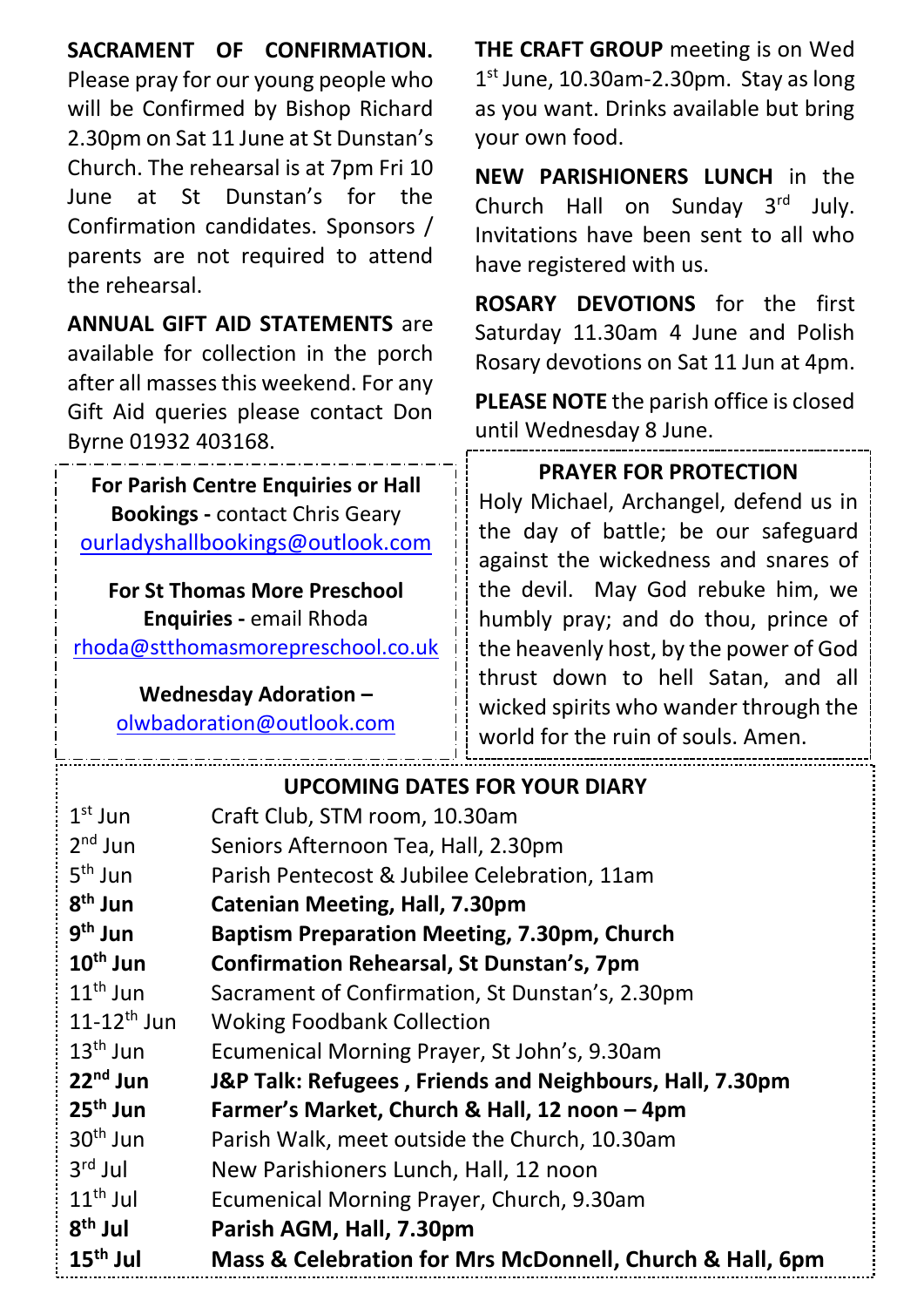## **SACRAMENT OF CONFIRMATION.**

Please pray for our young people who will be Confirmed by Bishop Richard 2.30pm on Sat 11 June at St Dunstan's Church. The rehearsal is at 7pm Fri 10 June at St Dunstan's for the Confirmation candidates. Sponsors / parents are not required to attend the rehearsal.

**ANNUAL GIFT AID STATEMENTS** are available for collection in the porch after all masses this weekend. For any Gift Aid queries please contact Don Byrne 01932 403168.

**For Parish Centre Enquiries or Hall Bookings -** contact Chris Geary [ourladyshallbookings@outlook.com](mailto:ourladyshallbookings@outlook.com)

**For St Thomas More Preschool Enquiries -** email Rhoda [rhoda@stthomasmorepreschool.co.uk](mailto:rhoda@stthomasmorepreschool.co.uk)

#### **Wednesday Adoration –** [olwbadoration@outlook.com](mailto:olwbadoration@outlook.com)

**THE CRAFT GROUP** meeting is on Wed 1<sup>st</sup> June, 10.30am-2.30pm. Stay as long as you want. Drinks available but bring your own food.

**NEW PARISHIONERS LUNCH** in the Church Hall on Sunday 3rd July. Invitations have been sent to all who have registered with us.

**ROSARY DEVOTIONS** for the first Saturday 11.30am 4 June and Polish Rosary devotions on Sat 11 Jun at 4pm.

**PLEASE NOTE** the parish office is closed until Wednesday 8 June.

### **PRAYER FOR PROTECTION**

Holy Michael, Archangel, defend us in the day of battle; be our safeguard against the wickedness and snares of the devil. May God rebuke him, we humbly pray; and do thou, prince of the heavenly host, by the power of God thrust down to hell Satan, and all wicked spirits who wander through the world for the ruin of souls. Amen.

|                      | <b>UPCOMING DATES FOR YOUR DIARY</b>                     |
|----------------------|----------------------------------------------------------|
| $1st$ Jun            | Craft Club, STM room, 10.30am                            |
| $2nd$ Jun            | Seniors Afternoon Tea, Hall, 2.30pm                      |
| $5th$ Jun            | Parish Pentecost & Jubilee Celebration, 11am             |
| $8th$ Jun            | <b>Catenian Meeting, Hall, 7.30pm</b>                    |
| $9th$ Jun            | <b>Baptism Preparation Meeting, 7.30pm, Church</b>       |
| $10^{\text{th}}$ Jun | <b>Confirmation Rehearsal, St Dunstan's, 7pm</b>         |
| $11^{\text{th}}$ Jun | Sacrament of Confirmation, St Dunstan's, 2.30pm          |
| $11-12^{th}$ Jun     | <b>Woking Foodbank Collection</b>                        |
| $13th$ Jun           | Ecumenical Morning Prayer, St John's, 9.30am             |
| $22nd$ Jun           | J&P Talk: Refugees, Friends and Neighbours, Hall, 7.30pm |
| $25th$ Jun           | Farmer's Market, Church & Hall, 12 noon - 4pm            |
| $30th$ Jun           | Parish Walk, meet outside the Church, 10.30am            |
| $3rd$ Jul            | New Parishioners Lunch, Hall, 12 noon                    |
| $11th$ Jul           | Ecumenical Morning Prayer, Church, 9.30am                |
| $8th$ Jul            | Parish AGM, Hall, 7.30pm                                 |
| $15th$ Jul           | Mass & Celebration for Mrs McDonnell, Church & Hall, 6pm |